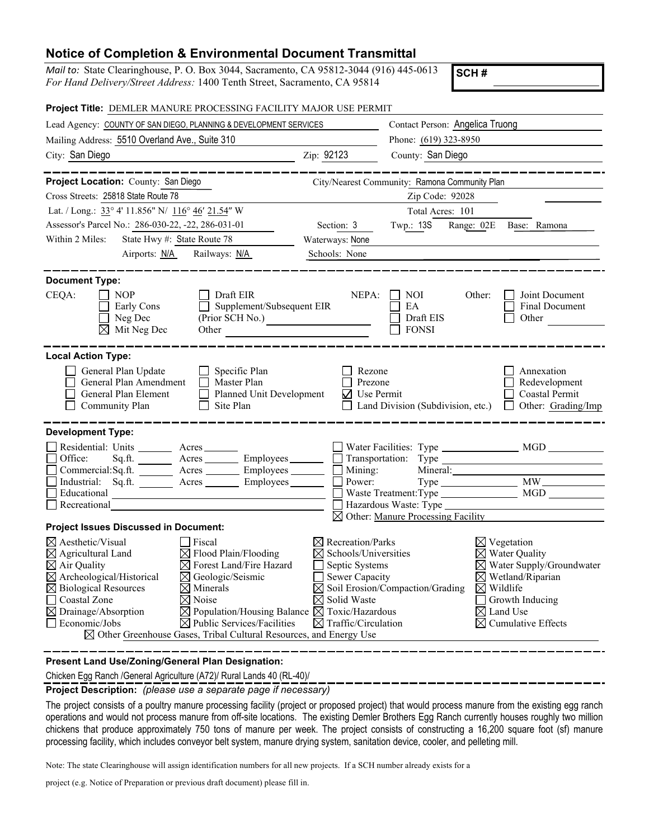## **Notice of Completion & Environmental Document Transmittal**

*Mail to:* State Clearinghouse, P. O. Box 3044, Sacramento, CA 95812-3044 (916) 445-0613 *For Hand Delivery/Street Address:* 1400 Tenth Street, Sacramento, CA 95814

**SCH #**

| Project Title: DEMLER MANURE PROCESSING FACILITY MAJOR USE PERMIT                                                                                                                                                                                                                                                                                                                                                                                                                                                                                                                                                           |                                                                                                                                                                                    |                                                                        |                                                                                                                                                                                                                               |
|-----------------------------------------------------------------------------------------------------------------------------------------------------------------------------------------------------------------------------------------------------------------------------------------------------------------------------------------------------------------------------------------------------------------------------------------------------------------------------------------------------------------------------------------------------------------------------------------------------------------------------|------------------------------------------------------------------------------------------------------------------------------------------------------------------------------------|------------------------------------------------------------------------|-------------------------------------------------------------------------------------------------------------------------------------------------------------------------------------------------------------------------------|
| Lead Agency: COUNTY OF SAN DIEGO, PLANNING & DEVELOPMENT SERVICES                                                                                                                                                                                                                                                                                                                                                                                                                                                                                                                                                           |                                                                                                                                                                                    | Contact Person: Angelica Truong                                        |                                                                                                                                                                                                                               |
| Mailing Address: 5510 Overland Ave., Suite 310                                                                                                                                                                                                                                                                                                                                                                                                                                                                                                                                                                              |                                                                                                                                                                                    | Phone: (619) 323-8950                                                  |                                                                                                                                                                                                                               |
| City: San Diego                                                                                                                                                                                                                                                                                                                                                                                                                                                                                                                                                                                                             | Zip: 92123                                                                                                                                                                         | County: San Diego                                                      |                                                                                                                                                                                                                               |
| Project Location: County: San Diego                                                                                                                                                                                                                                                                                                                                                                                                                                                                                                                                                                                         |                                                                                                                                                                                    | City/Nearest Community: Ramona Community Plan                          |                                                                                                                                                                                                                               |
| Cross Streets: 25818 State Route 78                                                                                                                                                                                                                                                                                                                                                                                                                                                                                                                                                                                         |                                                                                                                                                                                    | Zip Code: 92028                                                        |                                                                                                                                                                                                                               |
| Lat. / Long.: 33° 4' 11.856" N/ 116° 46' 21.54" W                                                                                                                                                                                                                                                                                                                                                                                                                                                                                                                                                                           |                                                                                                                                                                                    | Total Acres: 101                                                       |                                                                                                                                                                                                                               |
| Assessor's Parcel No.: 286-030-22, -22, 286-031-01                                                                                                                                                                                                                                                                                                                                                                                                                                                                                                                                                                          | Section: 3                                                                                                                                                                         | Twp.: 13S<br>Range: 02E                                                | Base: Ramona                                                                                                                                                                                                                  |
| Within 2 Miles:<br>State Hwy #: State Route 78                                                                                                                                                                                                                                                                                                                                                                                                                                                                                                                                                                              | Waterways: None                                                                                                                                                                    |                                                                        |                                                                                                                                                                                                                               |
| Airports: N/A<br>Railways: N/A                                                                                                                                                                                                                                                                                                                                                                                                                                                                                                                                                                                              | Schools: None                                                                                                                                                                      |                                                                        |                                                                                                                                                                                                                               |
| <b>Document Type:</b><br>CEQA:<br><b>NOP</b><br>Draft EIR<br>Supplement/Subsequent EIR<br>Early Cons<br>$\mathbf{1}$<br>Neg Dec<br>(Prior SCH No.)<br>$\boxtimes$ Mit Neg Dec<br>Other <u>contracts</u>                                                                                                                                                                                                                                                                                                                                                                                                                     | NEPA:                                                                                                                                                                              | NOI<br>EA<br>Draft EIS<br><b>FONSI</b>                                 | Joint Document<br>Other:<br>Final Document<br>Other                                                                                                                                                                           |
| <b>Local Action Type:</b><br>General Plan Update<br>Specific Plan<br>General Plan Amendment<br>Master Plan<br>General Plan Element<br>$\Box$<br>Planned Unit Development<br>Site Plan<br>Community Plan<br>П                                                                                                                                                                                                                                                                                                                                                                                                                | Rezone<br>Prezone<br>$\nabla$ Use Permit                                                                                                                                           |                                                                        | Annexation<br>Redevelopment<br>Coastal Permit<br>Land Division (Subdivision, etc.) $\Box$ Other: Grading/Imp                                                                                                                  |
| <b>Development Type:</b><br>Residential: Units _________ Acres _______<br>Sq.ft. _________ Acres __________ Employees _________ [<br>Office:<br>Commercial:Sq.ft. ________ Acres _________ Employees ________ __ Mining:<br>Industrial: Sq.ft. <u>Acres</u> Acres Employees<br>Educational<br>Recreational                                                                                                                                                                                                                                                                                                                  | $\Box$ Power:                                                                                                                                                                      | Hazardous Waste: Type<br>$\boxtimes$ Other: Manure Processing Facility | Mineral:                                                                                                                                                                                                                      |
| <b>Project Issues Discussed in Document:</b>                                                                                                                                                                                                                                                                                                                                                                                                                                                                                                                                                                                |                                                                                                                                                                                    |                                                                        |                                                                                                                                                                                                                               |
| $\boxtimes$ Aesthetic/Visual<br>$\Box$ Fiscal<br>$\boxtimes$ Agricultural Land<br>$\boxtimes$ Flood Plain/Flooding<br>$\boxtimes$ Forest Land/Fire Hazard<br>$\boxtimes$ Air Quality<br>$\boxtimes$ Archeological/Historical<br>$\boxtimes$ Geologic/Seismic<br>$\boxtimes$ Biological Resources<br>$\boxtimes$ Minerals<br>□ Coastal Zone<br>$\boxtimes$ Noise<br>$\boxtimes$ Drainage/Absorption<br>$\boxtimes$ Population/Housing Balance $\boxtimes$ Toxic/Hazardous<br>$\boxtimes$ Public Services/Facilities<br>$\Box$ Economic/Jobs<br>$\boxtimes$ Other Greenhouse Gases, Tribal Cultural Resources, and Energy Use | $\boxtimes$ Recreation/Parks<br>$\boxtimes$ Schools/Universities<br>Septic Systems<br>Sewer Capacity<br>$\mathsf{L}$<br>$\boxtimes$ Solid Waste<br>$\boxtimes$ Traffic/Circulation | $\boxtimes$ Soil Erosion/Compaction/Grading                            | $\boxtimes$ Vegetation<br>$\boxtimes$ Water Quality<br>$\times$ Water Supply/Groundwater<br>$\boxtimes$ Wetland/Riparian<br>$\boxtimes$ Wildlife<br>Growth Inducing<br>$\boxtimes$ Land Use<br>$\boxtimes$ Cumulative Effects |

**Present Land Use/Zoning/General Plan Designation:**

Chicken Egg Ranch /General Agriculture (A72)/ Rural Lands 40 (RL-40)/

**Project Description:** *(please use a separate page if necessary)* 

The project consists of a poultry manure processing facility (project or proposed project) that would process manure from the existing egg ranch operations and would not process manure from off-site locations. The existing Demler Brothers Egg Ranch currently houses roughly two million chickens that produce approximately 750 tons of manure per week. The project consists of constructing a 16,200 square foot (sf) manure processing facility, which includes conveyor belt system, manure drying system, sanitation device, cooler, and pelleting mill.

Note: The state Clearinghouse will assign identification numbers for all new projects. If a SCH number already exists for a

project (e.g. Notice of Preparation or previous draft document) please fill in.